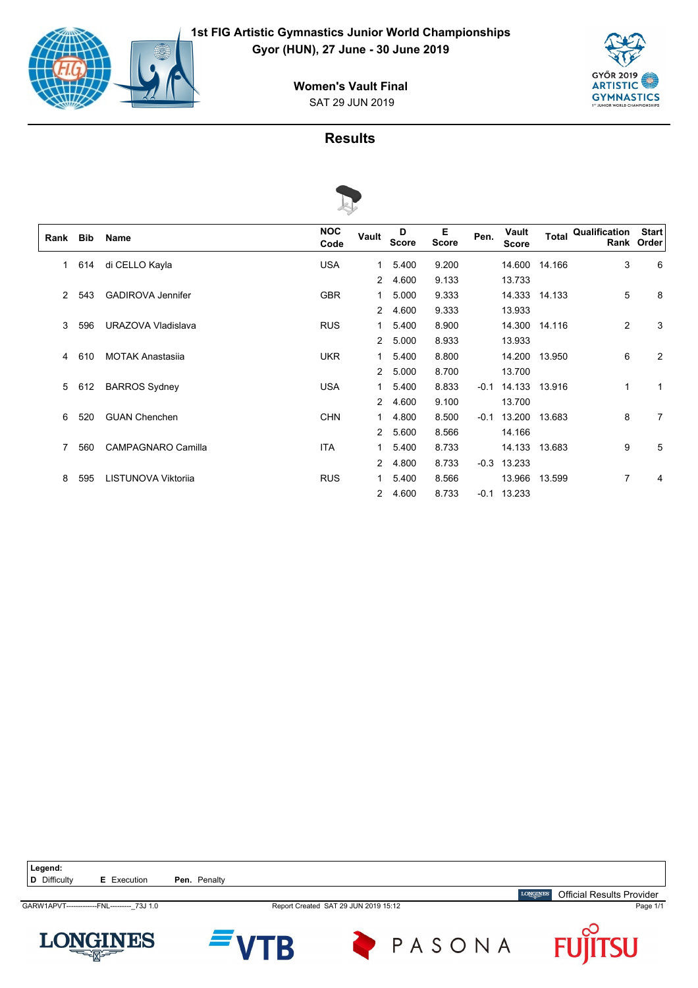



## SAT 29 JUN 2019 **Women's Vault Final**



| Rank | <b>Bib</b> | Name                      | <b>NOC</b><br>Code | Vault          | D<br><b>Score</b> | Е<br><b>Score</b> | Pen.   | Vault<br><b>Score</b> | <b>Total</b>  | Qualification | <b>Start</b><br>Rank Order |
|------|------------|---------------------------|--------------------|----------------|-------------------|-------------------|--------|-----------------------|---------------|---------------|----------------------------|
| 1    | 614        | di CELLO Kayla            | <b>USA</b>         | 1              | 5.400             | 9.200             |        |                       | 14.600 14.166 | 3             | 6                          |
|      |            |                           |                    | 2              | 4.600             | 9.133             |        | 13.733                |               |               |                            |
| 2    | 543        | <b>GADIROVA Jennifer</b>  | <b>GBR</b>         | 1              | 5.000             | 9.333             |        |                       | 14.333 14.133 | 5             | 8                          |
|      |            |                           |                    | 2              | 4.600             | 9.333             |        | 13.933                |               |               |                            |
| 3    | 596        | URAZOVA Vladislava        | <b>RUS</b>         | 1              | 5.400             | 8.900             |        |                       | 14.300 14.116 | 2             | 3                          |
|      |            |                           |                    | $\overline{2}$ | 5.000             | 8.933             |        | 13.933                |               |               |                            |
| 4    | 610        | <b>MOTAK Anastasija</b>   | <b>UKR</b>         | 1              | 5.400             | 8.800             |        |                       | 14.200 13.950 | 6             | 2                          |
|      |            |                           |                    | $\overline{2}$ | 5.000             | 8.700             |        | 13.700                |               |               |                            |
| 5    | 612        | <b>BARROS Sydney</b>      | <b>USA</b>         | 1              | 5.400             | 8.833             | $-0.1$ |                       | 14.133 13.916 | $\mathbf{1}$  | 1                          |
|      |            |                           |                    | $\overline{2}$ | 4.600             | 9.100             |        | 13.700                |               |               |                            |
| 6    | 520        | <b>GUAN Chenchen</b>      | <b>CHN</b>         | 1              | 4.800             | 8.500             | $-0.1$ |                       | 13.200 13.683 | 8             | 7                          |
|      |            |                           |                    | $\overline{2}$ | 5.600             | 8.566             |        | 14.166                |               |               |                            |
| 7    | 560        | <b>CAMPAGNARO Camilla</b> | <b>ITA</b>         | 1              | 5.400             | 8.733             |        |                       | 14.133 13.683 | 9             | 5                          |
|      |            |                           |                    | $\overline{2}$ | 4.800             | 8.733             |        | $-0.3$ 13.233         |               |               |                            |
| 8    | 595        | LISTUNOVA Viktorija       | <b>RUS</b>         | 1              | 5.400             | 8.566             |        |                       | 13.966 13.599 | 7             | 4                          |
|      |            |                           |                    | $\overline{2}$ | 4.600             | 8.733             |        | $-0.1$ 13.233         |               |               |                            |

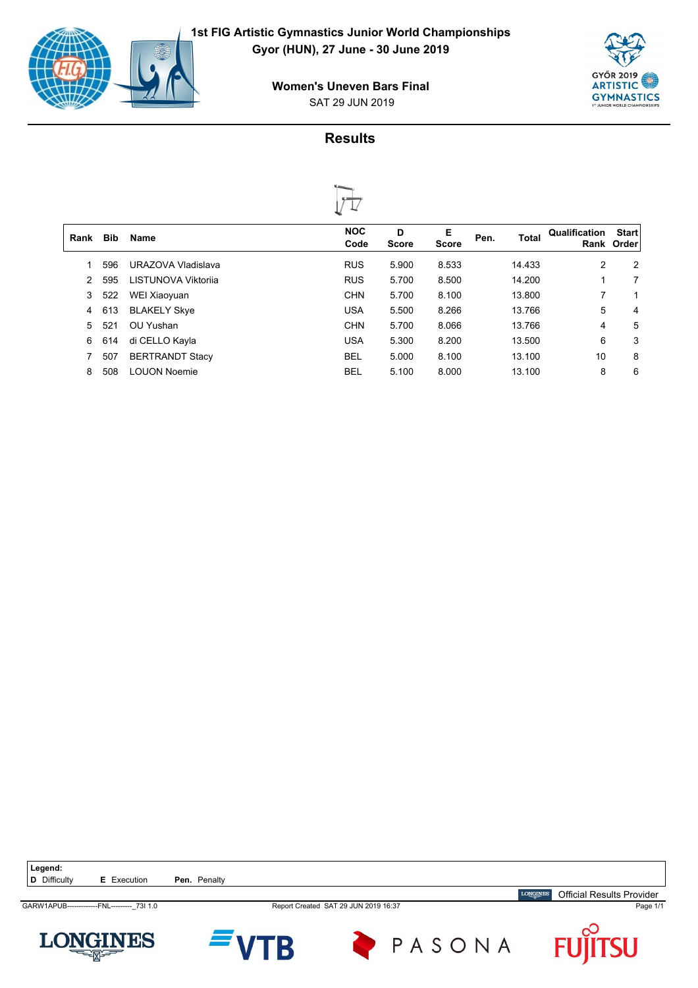

SAT 29 JUN 2019 **Women's Uneven Bars Final**





|      |            |                        | ∾.                 |            |                   |      |              |               |                            |
|------|------------|------------------------|--------------------|------------|-------------------|------|--------------|---------------|----------------------------|
| Rank | <b>Bib</b> | <b>Name</b>            | <b>NOC</b><br>Code | D<br>Score | Е<br><b>Score</b> | Pen. | <b>Total</b> | Qualification | <b>Start</b><br>Rank Order |
|      | 596        | URAZOVA Vladislava     | <b>RUS</b>         | 5.900      | 8.533             |      | 14.433       | 2             | 2                          |
| 2    | 595        | LISTUNOVA Viktorija    | <b>RUS</b>         | 5.700      | 8.500             |      | 14.200       | 1             | 7                          |
| 3    | 522        | WEI Xiaoyuan           | <b>CHN</b>         | 5.700      | 8.100             |      | 13.800       | 7             | 1                          |
| 4    | 613        | <b>BLAKELY Skye</b>    | <b>USA</b>         | 5.500      | 8.266             |      | 13.766       | 5             | 4                          |
| 5.   | 521        | OU Yushan              | <b>CHN</b>         | 5.700      | 8.066             |      | 13.766       | 4             | 5                          |
| 6    | 614        | di CELLO Kayla         | <b>USA</b>         | 5.300      | 8.200             |      | 13.500       | 6             | 3                          |
|      | 507        | <b>BERTRANDT Stacy</b> | <b>BEL</b>         | 5.000      | 8.100             |      | 13.100       | 10            | 8                          |
| 8    | 508        | <b>LOUON Noemie</b>    | BEL                | 5.100      | 8.000             |      | 13.100       | 8             | 6                          |
|      |            |                        |                    |            |                   |      |              |               |                            |

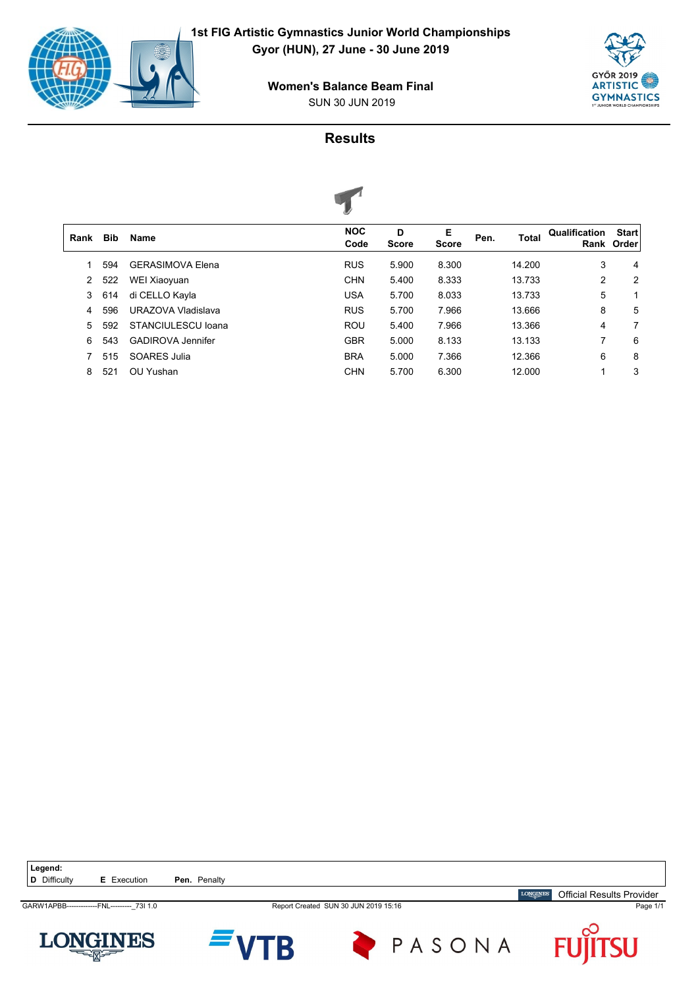

SUN 30 JUN 2019 **Women's Balance Beam Final**





|      |            |                           | $\tilde{\phantom{a}}$ |                   |                   |      |        |                |                            |
|------|------------|---------------------------|-----------------------|-------------------|-------------------|------|--------|----------------|----------------------------|
| Rank | <b>Bib</b> | <b>Name</b>               | <b>NOC</b><br>Code    | D<br><b>Score</b> | Е<br><b>Score</b> | Pen. | Total  | Qualification  | <b>Start</b><br>Rank Order |
|      | 594        | <b>GERASIMOVA Elena</b>   | <b>RUS</b>            | 5.900             | 8.300             |      | 14.200 | 3              | 4                          |
| 2    | 522        | WEI Xiaoyuan              | <b>CHN</b>            | 5.400             | 8.333             |      | 13.733 | $\overline{2}$ | 2                          |
| 3    | 614        | di CELLO Kayla            | <b>USA</b>            | 5.700             | 8.033             |      | 13.733 | 5              | 1                          |
| 4    | 596        | <b>URAZOVA Vladislava</b> | <b>RUS</b>            | 5.700             | 7.966             |      | 13.666 | 8              | 5                          |
| 5    | 592        | STANCIULESCU Ioana        | <b>ROU</b>            | 5.400             | 7.966             |      | 13.366 | 4              | 7                          |
| 6    | 543        | <b>GADIROVA Jennifer</b>  | <b>GBR</b>            | 5.000             | 8.133             |      | 13.133 | 7              | 6                          |
|      | 515        | SOARES Julia              | <b>BRA</b>            | 5.000             | 7.366             |      | 12.366 | 6              | 8                          |
| 8    | 521        | OU Yushan                 | <b>CHN</b>            | 5.700             | 6.300             |      | 12.000 | 4              | 3                          |
|      |            |                           |                       |                   |                   |      |        |                |                            |